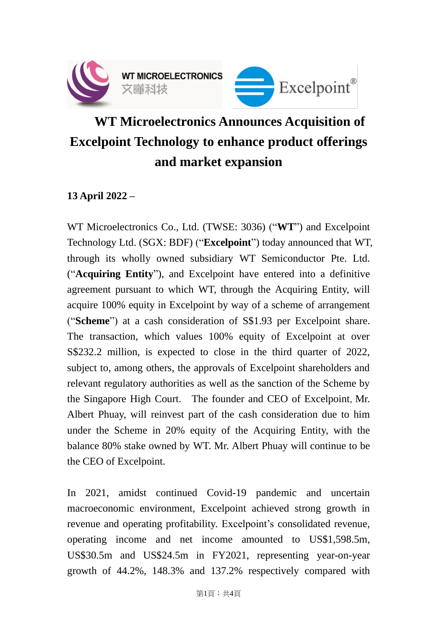

## **WT Microelectronics Announces Acquisition of Excelpoint Technology to enhance product offerings and market expansion**

## **13 April 2022 –**

WT Microelectronics Co., Ltd. (TWSE: 3036) ("**WT**") and Excelpoint Technology Ltd. (SGX: BDF) ("**Excelpoint**") today announced that WT, through its wholly owned subsidiary WT Semiconductor Pte. Ltd. ("**Acquiring Entity**"), and Excelpoint have entered into a definitive agreement pursuant to which WT, through the Acquiring Entity, will acquire 100% equity in Excelpoint by way of a scheme of arrangement ("**Scheme**") at a cash consideration of S\$1.93 per Excelpoint share. The transaction, which values 100% equity of Excelpoint at over S\$232.2 million, is expected to close in the third quarter of 2022, subject to, among others, the approvals of Excelpoint shareholders and relevant regulatory authorities as well as the sanction of the Scheme by the Singapore High Court. The founder and CEO of Excelpoint, Mr. Albert Phuay, will reinvest part of the cash consideration due to him under the Scheme in 20% equity of the Acquiring Entity, with the balance 80% stake owned by WT. Mr. Albert Phuay will continue to be the CEO of Excelpoint.

In 2021, amidst continued Covid-19 pandemic and uncertain macroeconomic environment, Excelpoint achieved strong growth in revenue and operating profitability. Excelpoint's consolidated revenue, operating income and net income amounted to US\$1,598.5m, US\$30.5m and US\$24.5m in FY2021, representing year-on-year growth of 44.2%, 148.3% and 137.2% respectively compared with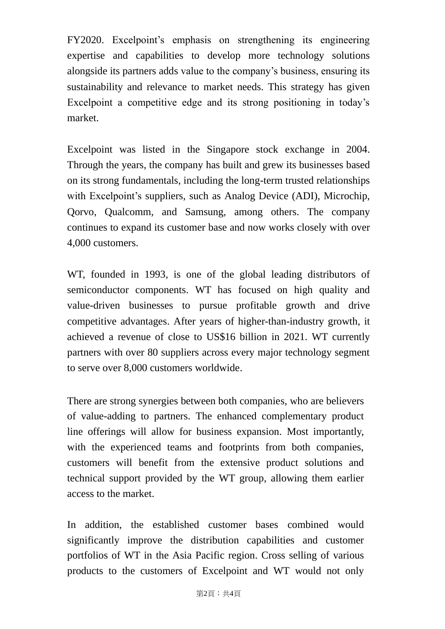FY2020. Excelpoint's emphasis on strengthening its engineering expertise and capabilities to develop more technology solutions alongside its partners adds value to the company's business, ensuring its sustainability and relevance to market needs. This strategy has given Excelpoint a competitive edge and its strong positioning in today's market.

Excelpoint was listed in the Singapore stock exchange in 2004. Through the years, the company has built and grew its businesses based on its strong fundamentals, including the long-term trusted relationships with Excelpoint's suppliers, such as Analog Device (ADI), Microchip, Qorvo, Qualcomm, and Samsung, among others. The company continues to expand its customer base and now works closely with over 4,000 customers.

WT, founded in 1993, is one of the global leading distributors of semiconductor components. WT has focused on high quality and value-driven businesses to pursue profitable growth and drive competitive advantages. After years of higher-than-industry growth, it achieved a revenue of close to US\$16 billion in 2021. WT currently partners with over 80 suppliers across every major technology segment to serve over 8,000 customers worldwide.

There are strong synergies between both companies, who are believers of value-adding to partners. The enhanced complementary product line offerings will allow for business expansion. Most importantly, with the experienced teams and footprints from both companies, customers will benefit from the extensive product solutions and technical support provided by the WT group, allowing them earlier access to the market.

In addition, the established customer bases combined would significantly improve the distribution capabilities and customer portfolios of WT in the Asia Pacific region. Cross selling of various products to the customers of Excelpoint and WT would not only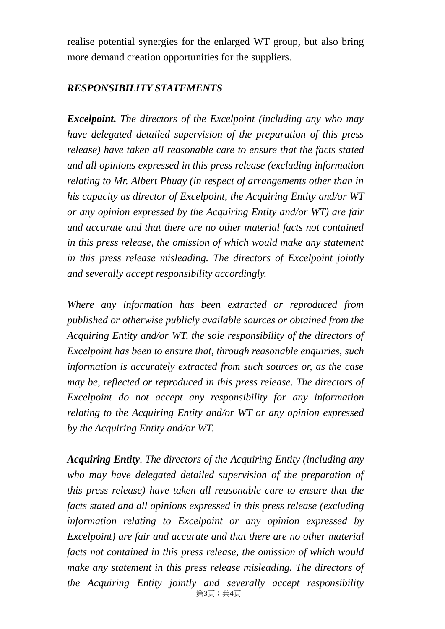realise potential synergies for the enlarged WT group, but also bring more demand creation opportunities for the suppliers.

## *RESPONSIBILITY STATEMENTS*

*Excelpoint. The directors of the Excelpoint (including any who may have delegated detailed supervision of the preparation of this press release) have taken all reasonable care to ensure that the facts stated and all opinions expressed in this press release (excluding information relating to Mr. Albert Phuay (in respect of arrangements other than in his capacity as director of Excelpoint, the Acquiring Entity and/or WT or any opinion expressed by the Acquiring Entity and/or WT) are fair and accurate and that there are no other material facts not contained in this press release, the omission of which would make any statement in this press release misleading. The directors of Excelpoint jointly and severally accept responsibility accordingly.* 

*Where any information has been extracted or reproduced from published or otherwise publicly available sources or obtained from the Acquiring Entity and/or WT, the sole responsibility of the directors of Excelpoint has been to ensure that, through reasonable enquiries, such information is accurately extracted from such sources or, as the case may be, reflected or reproduced in this press release. The directors of Excelpoint do not accept any responsibility for any information relating to the Acquiring Entity and/or WT or any opinion expressed by the Acquiring Entity and/or WT.*

第3頁;共4頁 *Acquiring Entity. The directors of the Acquiring Entity (including any who may have delegated detailed supervision of the preparation of this press release) have taken all reasonable care to ensure that the facts stated and all opinions expressed in this press release (excluding information relating to Excelpoint or any opinion expressed by Excelpoint) are fair and accurate and that there are no other material facts not contained in this press release, the omission of which would make any statement in this press release misleading. The directors of the Acquiring Entity jointly and severally accept responsibility*